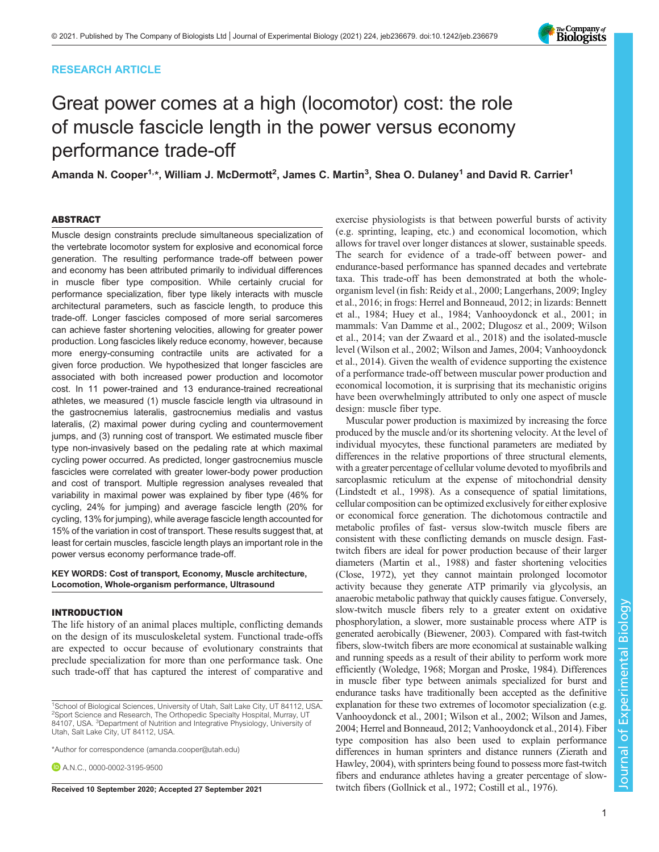# RESEARCH ARTICLE



Amanda N. Cooper $^{1,*}$ , William J. McDermott $^{2}$ , James C. Martin $^{3}$ , Shea O. Dulaney $^{1}$  and David R. Carrier $^{1}$ 

# ABSTRACT

Muscle design constraints preclude simultaneous specialization of the vertebrate locomotor system for explosive and economical force generation. The resulting performance trade-off between power and economy has been attributed primarily to individual differences in muscle fiber type composition. While certainly crucial for performance specialization, fiber type likely interacts with muscle architectural parameters, such as fascicle length, to produce this trade-off. Longer fascicles composed of more serial sarcomeres can achieve faster shortening velocities, allowing for greater power production. Long fascicles likely reduce economy, however, because more energy-consuming contractile units are activated for a given force production. We hypothesized that longer fascicles are associated with both increased power production and locomotor cost. In 11 power-trained and 13 endurance-trained recreational athletes, we measured (1) muscle fascicle length via ultrasound in the gastrocnemius lateralis, gastrocnemius medialis and vastus lateralis, (2) maximal power during cycling and countermovement jumps, and (3) running cost of transport. We estimated muscle fiber type non-invasively based on the pedaling rate at which maximal cycling power occurred. As predicted, longer gastrocnemius muscle fascicles were correlated with greater lower-body power production and cost of transport. Multiple regression analyses revealed that variability in maximal power was explained by fiber type (46% for cycling, 24% for jumping) and average fascicle length (20% for cycling, 13% for jumping), while average fascicle length accounted for 15% of the variation in cost of transport. These results suggest that, at least for certain muscles, fascicle length plays an important role in the power versus economy performance trade-off.

## KEY WORDS: Cost of transport, Economy, Muscle architecture, Locomotion, Whole-organism performance, Ultrasound

## INTRODUCTION

The life history of an animal places multiple, conflicting demands on the design of its musculoskeletal system. Functional trade-offs are expected to occur because of evolutionary constraints that preclude specialization for more than one performance task. One such trade-off that has captured the interest of comparative and

\*Author for correspondence [\(amanda.cooper@utah.edu\)](mailto:amanda.cooper@utah.edu)

**D** A N C [0000-0002-3195-9500](http://orcid.org/0000-0002-3195-9500)

exercise physiologists is that between powerful bursts of activity (e.g. sprinting, leaping, etc.) and economical locomotion, which allows for travel over longer distances at slower, sustainable speeds. The search for evidence of a trade-off between power- and endurance-based performance has spanned decades and vertebrate taxa. This trade-off has been demonstrated at both the wholeorganism level (in fish: [Reidy et al., 2000](#page-11-0); [Langerhans, 2009; Ingley](#page-10-0) [et al., 2016;](#page-10-0) in frogs: [Herrel and Bonneaud, 2012;](#page-10-0) in lizards: [Bennett](#page-9-0) [et al., 1984;](#page-9-0) [Huey et al., 1984](#page-10-0); [Vanhooydonck et al., 2001;](#page-11-0) in mammals: [Van Damme et al., 2002](#page-11-0); [Dlugosz et al., 2009](#page-10-0); [Wilson](#page-11-0) [et al., 2014](#page-11-0); [van der Zwaard et al., 2018\)](#page-11-0) and the isolated-muscle level [\(Wilson et al., 2002; Wilson and James, 2004; Vanhooydonck](#page-11-0) [et al., 2014\)](#page-11-0). Given the wealth of evidence supporting the existence of a performance trade-off between muscular power production and economical locomotion, it is surprising that its mechanistic origins have been overwhelmingly attributed to only one aspect of muscle design: muscle fiber type.

Muscular power production is maximized by increasing the force produced by the muscle and/or its shortening velocity. At the level of individual myocytes, these functional parameters are mediated by differences in the relative proportions of three structural elements, with a greater percentage of cellular volume devoted to myofibrils and sarcoplasmic reticulum at the expense of mitochondrial density [\(Lindstedt et al., 1998\)](#page-10-0). As a consequence of spatial limitations, cellular composition can be optimized exclusively for either explosive or economical force generation. The dichotomous contractile and metabolic profiles of fast- versus slow-twitch muscle fibers are consistent with these conflicting demands on muscle design. Fasttwitch fibers are ideal for power production because of their larger diameters ([Martin et al., 1988\)](#page-10-0) and faster shortening velocities [\(Close, 1972](#page-9-0)), yet they cannot maintain prolonged locomotor activity because they generate ATP primarily via glycolysis, an anaerobic metabolic pathway that quickly causes fatigue. Conversely, slow-twitch muscle fibers rely to a greater extent on oxidative phosphorylation, a slower, more sustainable process where ATP is generated aerobically [\(Biewener, 2003\)](#page-9-0). Compared with fast-twitch fibers, slow-twitch fibers are more economical at sustainable walking and running speeds as a result of their ability to perform work more efficiently [\(Woledge, 1968;](#page-11-0) [Morgan and Proske, 1984\)](#page-10-0). Differences in muscle fiber type between animals specialized for burst and endurance tasks have traditionally been accepted as the definitive explanation for these two extremes of locomotor specialization (e.g. [Vanhooydonck et al., 2001; Wilson et al., 2002; Wilson and James,](#page-11-0) [2004;](#page-11-0) [Herrel and Bonneaud, 2012](#page-10-0); [Vanhooydonck et al., 2014\)](#page-11-0). Fiber type composition has also been used to explain performance differences in human sprinters and distance runners [\(Zierath and](#page-11-0) [Hawley, 2004\)](#page-11-0), with sprinters being found to possess more fast-twitch fibers and endurance athletes having a greater percentage of slow-Received 10 September 2020; Accepted 27 September 2021 twitch fibers ([Gollnick et al., 1972;](#page-10-0) [Costill et al., 1976](#page-9-0)).



<sup>&</sup>lt;sup>1</sup>School of Biological Sciences, University of Utah, Salt Lake City, UT 84112, USA. <sup>2</sup>Sport Science and Research, The Orthopedic Specialty Hospital, Murray, UT 84107, USA. <sup>3</sup>Department of Nutrition and Integrative Physiology, University of Utah, Salt Lake City, UT 84112, USA.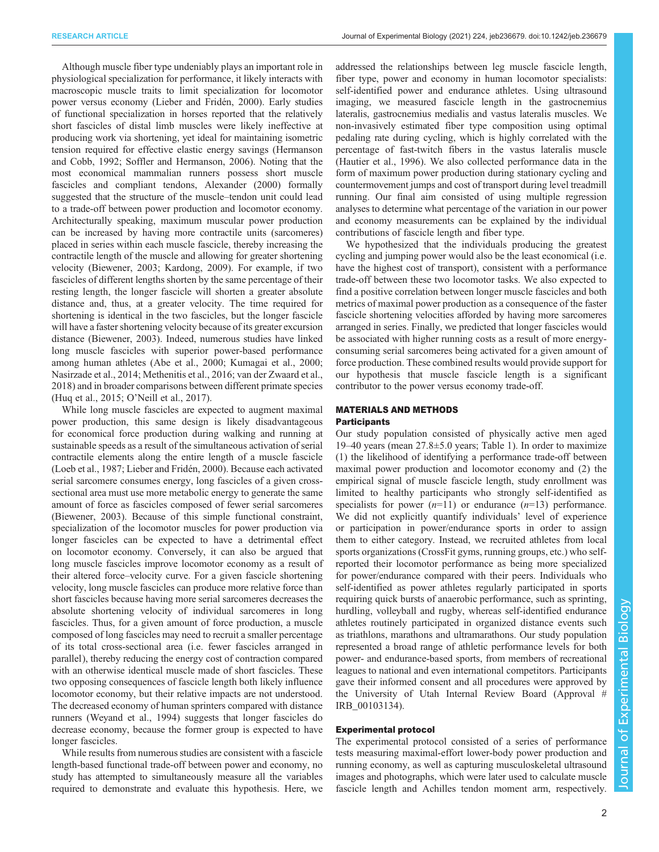Although muscle fiber type undeniably plays an important role in physiological specialization for performance, it likely interacts with macroscopic muscle traits to limit specialization for locomotor power versus economy ([Lieber and Fridén, 2000\)](#page-10-0). Early studies of functional specialization in horses reported that the relatively short fascicles of distal limb muscles were likely ineffective at producing work via shortening, yet ideal for maintaining isometric tension required for effective elastic energy savings [\(Hermanson](#page-10-0) [and Cobb, 1992;](#page-10-0) [Soffler and Hermanson, 2006](#page-11-0)). Noting that the most economical mammalian runners possess short muscle fascicles and compliant tendons, [Alexander \(2000\)](#page-9-0) formally suggested that the structure of the muscle–tendon unit could lead to a trade-off between power production and locomotor economy. Architecturally speaking, maximum muscular power production can be increased by having more contractile units (sarcomeres) placed in series within each muscle fascicle, thereby increasing the contractile length of the muscle and allowing for greater shortening velocity [\(Biewener, 2003](#page-9-0); [Kardong, 2009\)](#page-10-0). For example, if two fascicles of different lengths shorten by the same percentage of their resting length, the longer fascicle will shorten a greater absolute distance and, thus, at a greater velocity. The time required for shortening is identical in the two fascicles, but the longer fascicle will have a faster shortening velocity because of its greater excursion distance [\(Biewener, 2003\)](#page-9-0). Indeed, numerous studies have linked long muscle fascicles with superior power-based performance among human athletes ([Abe et al., 2000](#page-9-0); [Kumagai et al., 2000](#page-10-0); [Nasirzade et al., 2014](#page-10-0); [Methenitis et al., 2016;](#page-10-0) [van der Zwaard et al.,](#page-11-0) [2018](#page-11-0)) and in broader comparisons between different primate species [\(Huq et al., 2015;](#page-10-0) O'[Neill et al., 2017\)](#page-11-0).

While long muscle fascicles are expected to augment maximal power production, this same design is likely disadvantageous for economical force production during walking and running at sustainable speeds as a result of the simultaneous activation of serial contractile elements along the entire length of a muscle fascicle [\(Loeb et al., 1987](#page-10-0); [Lieber and Fridén, 2000](#page-10-0)). Because each activated serial sarcomere consumes energy, long fascicles of a given crosssectional area must use more metabolic energy to generate the same amount of force as fascicles composed of fewer serial sarcomeres [\(Biewener, 2003\)](#page-9-0). Because of this simple functional constraint, specialization of the locomotor muscles for power production via longer fascicles can be expected to have a detrimental effect on locomotor economy. Conversely, it can also be argued that long muscle fascicles improve locomotor economy as a result of their altered force–velocity curve. For a given fascicle shortening velocity, long muscle fascicles can produce more relative force than short fascicles because having more serial sarcomeres decreases the absolute shortening velocity of individual sarcomeres in long fascicles. Thus, for a given amount of force production, a muscle composed of long fascicles may need to recruit a smaller percentage of its total cross-sectional area (i.e. fewer fascicles arranged in parallel), thereby reducing the energy cost of contraction compared with an otherwise identical muscle made of short fascicles. These two opposing consequences of fascicle length both likely influence locomotor economy, but their relative impacts are not understood. The decreased economy of human sprinters compared with distance runners ([Weyand et al., 1994](#page-11-0)) suggests that longer fascicles do decrease economy, because the former group is expected to have longer fascicles.

While results from numerous studies are consistent with a fascicle length-based functional trade-off between power and economy, no study has attempted to simultaneously measure all the variables required to demonstrate and evaluate this hypothesis. Here, we

addressed the relationships between leg muscle fascicle length, fiber type, power and economy in human locomotor specialists: self-identified power and endurance athletes. Using ultrasound imaging, we measured fascicle length in the gastrocnemius lateralis, gastrocnemius medialis and vastus lateralis muscles. We non-invasively estimated fiber type composition using optimal pedaling rate during cycling, which is highly correlated with the percentage of fast-twitch fibers in the vastus lateralis muscle [\(Hautier et al., 1996\)](#page-10-0). We also collected performance data in the form of maximum power production during stationary cycling and countermovement jumps and cost of transport during level treadmill running. Our final aim consisted of using multiple regression analyses to determine what percentage of the variation in our power and economy measurements can be explained by the individual contributions of fascicle length and fiber type.

We hypothesized that the individuals producing the greatest cycling and jumping power would also be the least economical (i.e. have the highest cost of transport), consistent with a performance trade-off between these two locomotor tasks. We also expected to find a positive correlation between longer muscle fascicles and both metrics of maximal power production as a consequence of the faster fascicle shortening velocities afforded by having more sarcomeres arranged in series. Finally, we predicted that longer fascicles would be associated with higher running costs as a result of more energyconsuming serial sarcomeres being activated for a given amount of force production. These combined results would provide support for our hypothesis that muscle fascicle length is a significant contributor to the power versus economy trade-off.

# MATERIALS AND METHODS

# **Participants**

Our study population consisted of physically active men aged 19–40 years (mean 27.8±5.0 years; [Table 1](#page-2-0)). In order to maximize (1) the likelihood of identifying a performance trade-off between maximal power production and locomotor economy and (2) the empirical signal of muscle fascicle length, study enrollment was limited to healthy participants who strongly self-identified as specialists for power  $(n=11)$  or endurance  $(n=13)$  performance. We did not explicitly quantify individuals' level of experience or participation in power/endurance sports in order to assign them to either category. Instead, we recruited athletes from local sports organizations (CrossFit gyms, running groups, etc.) who selfreported their locomotor performance as being more specialized for power/endurance compared with their peers. Individuals who self-identified as power athletes regularly participated in sports requiring quick bursts of anaerobic performance, such as sprinting, hurdling, volleyball and rugby, whereas self-identified endurance athletes routinely participated in organized distance events such as triathlons, marathons and ultramarathons. Our study population represented a broad range of athletic performance levels for both power- and endurance-based sports, from members of recreational leagues to national and even international competitors. Participants gave their informed consent and all procedures were approved by the University of Utah Internal Review Board (Approval # IRB\_00103134).

# Experimental protocol

The experimental protocol consisted of a series of performance tests measuring maximal-effort lower-body power production and running economy, as well as capturing musculoskeletal ultrasound images and photographs, which were later used to calculate muscle fascicle length and Achilles tendon moment arm, respectively.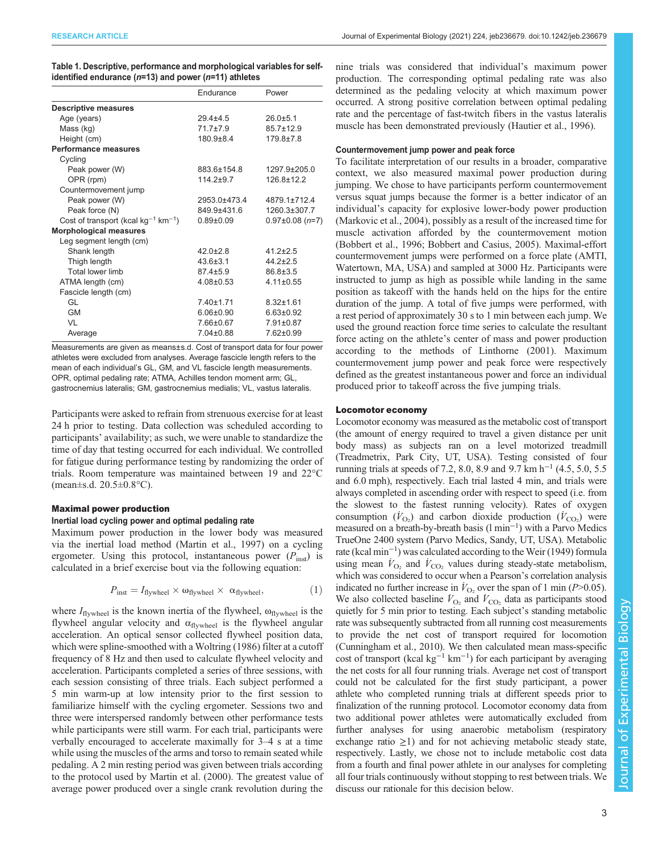| Journal of Experimental Biology (2021) 224, jeb236679. doi:10.1242/jeb.236679 |  |  |  |  |
|-------------------------------------------------------------------------------|--|--|--|--|
|-------------------------------------------------------------------------------|--|--|--|--|

<span id="page-2-0"></span>

| Table 1. Descriptive, performance and morphological variables for self- |
|-------------------------------------------------------------------------|
| identified endurance ( $n=13$ ) and power ( $n=11$ ) athletes           |

|                                                      | Endurance       | Power               |
|------------------------------------------------------|-----------------|---------------------|
| <b>Descriptive measures</b>                          |                 |                     |
| Age (years)                                          | $294+45$        | $26.0 + 5.1$        |
| Mass (kg)                                            | $717+79$        | $857+129$           |
| Height (cm)                                          | $180.9 \pm 8.4$ | $179.8 \pm 7.8$     |
| <b>Performance measures</b>                          |                 |                     |
| Cycling                                              |                 |                     |
| Peak power (W)                                       | 883.6±154.8     | 1297 9+205 0        |
| OPR (rpm)                                            | $114.2 + 9.7$   | $126.8 \pm 12.2$    |
| Countermovement jump                                 |                 |                     |
| Peak power (W)                                       | 2953.0±473.4    | 4879 1+712 4        |
| Peak force (N)                                       | 849 9+431 6     | 1260.3±307.7        |
| Cost of transport (kcal $kg^{-1}$ km <sup>-1</sup> ) | $0.89 + 0.09$   | $0.97\pm0.08$ (n=7) |
| <b>Morphological measures</b>                        |                 |                     |
| Leg segment length (cm)                              |                 |                     |
| Shank length                                         | $42.0 \pm 2.8$  | $41.2 \pm 2.5$      |
| Thigh length                                         | $43.6 \pm 3.1$  | $44.2 \pm 2.5$      |
| Total lower limb                                     | $87.4 \pm 5.9$  | 86 8 + 3.5          |
| ATMA length (cm)                                     | $4.08 \pm 0.53$ | $4.11 \pm 0.55$     |
| Fascicle length (cm)                                 |                 |                     |
| GL                                                   | $7.40 \pm 1.71$ | $8.32 \pm 1.61$     |
| <b>GM</b>                                            | $6.06 \pm 0.90$ | $6.63 \pm 0.92$     |
| VI                                                   | 7.66±0.67       | $7.91 \pm 0.87$     |
| Average                                              | $7.04 \pm 0.88$ | $7.62 \pm 0.99$     |

Measurements are given as means+s.d. Cost of transport data for four power athletes were excluded from analyses. Average fascicle length refers to the mean of each individual's GL, GM, and VL fascicle length measurements. OPR, optimal pedaling rate; ATMA, Achilles tendon moment arm; GL, gastrocnemius lateralis; GM, gastrocnemius medialis; VL, vastus lateralis.

Participants were asked to refrain from strenuous exercise for at least 24 h prior to testing. Data collection was scheduled according to participants' availability; as such, we were unable to standardize the time of day that testing occurred for each individual. We controlled for fatigue during performance testing by randomizing the order of trials. Room temperature was maintained between 19 and 22°C (mean±s.d. 20.5±0.8°C).

# Maximal power production

# Inertial load cycling power and optimal pedaling rate

Maximum power production in the lower body was measured via the inertial load method ([Martin et al., 1997\)](#page-10-0) on a cycling ergometer. Using this protocol, instantaneous power  $(P_{inst})$  is calculated in a brief exercise bout via the following equation:

$$
P_{\text{inst}} = I_{\text{flywheel}} \times \omega_{\text{flywheel}} \times \alpha_{\text{flywheel}}, \tag{1}
$$

where  $I_{flywheel}$  is the known inertia of the flywheel,  $\omega_{flywheel}$  is the flywheel angular velocity and  $\alpha_{flywheel}$  is the flywheel angular acceleration. An optical sensor collected flywheel position data, which were spline-smoothed with a [Woltring \(1986\)](#page-11-0) filter at a cutoff frequency of 8 Hz and then used to calculate flywheel velocity and acceleration. Participants completed a series of three sessions, with each session consisting of three trials. Each subject performed a 5 min warm-up at low intensity prior to the first session to familiarize himself with the cycling ergometer. Sessions two and three were interspersed randomly between other performance tests while participants were still warm. For each trial, participants were verbally encouraged to accelerate maximally for 3–4 s at a time while using the muscles of the arms and torso to remain seated while pedaling. A 2 min resting period was given between trials according to the protocol used by [Martin et al. \(2000\).](#page-10-0) The greatest value of average power produced over a single crank revolution during the

nine trials was considered that individual's maximum power production. The corresponding optimal pedaling rate was also determined as the pedaling velocity at which maximum power occurred. A strong positive correlation between optimal pedaling rate and the percentage of fast-twitch fibers in the vastus lateralis muscle has been demonstrated previously [\(Hautier et al., 1996](#page-10-0)).

## Countermovement jump power and peak force

To facilitate interpretation of our results in a broader, comparative context, we also measured maximal power production during jumping. We chose to have participants perform countermovement versus squat jumps because the former is a better indicator of an individual's capacity for explosive lower-body power production [\(Markovic et al., 2004\)](#page-10-0), possibly as a result of the increased time for muscle activation afforded by the countermovement motion [\(Bobbert et al., 1996](#page-9-0); [Bobbert and Casius, 2005\)](#page-9-0). Maximal-effort countermovement jumps were performed on a force plate (AMTI, Watertown, MA, USA) and sampled at 3000 Hz. Participants were instructed to jump as high as possible while landing in the same position as takeoff with the hands held on the hips for the entire duration of the jump. A total of five jumps were performed, with a rest period of approximately 30 s to 1 min between each jump. We used the ground reaction force time series to calculate the resultant force acting on the athlete's center of mass and power production according to the methods of [Linthorne \(2001\).](#page-10-0) Maximum countermovement jump power and peak force were respectively defined as the greatest instantaneous power and force an individual produced prior to takeoff across the five jumping trials.

#### Locomotor economy

Locomotor economy was measured as the metabolic cost of transport (the amount of energy required to travel a given distance per unit body mass) as subjects ran on a level motorized treadmill (Treadmetrix, Park City, UT, USA). Testing consisted of four running trials at speeds of 7.2, 8.0, 8.9 and 9.7 km h<sup>-1</sup> (4.5, 5.0, 5.5 and 6.0 mph), respectively. Each trial lasted 4 min, and trials were always completed in ascending order with respect to speed (i.e. from the slowest to the fastest running velocity). Rates of oxygen consumption  $(\dot{V}_{\text{O}_2})$  and carbon dioxide production  $(\dot{V}_{\text{CO}_2})$  were measured on a breath-by-breath basis (l min−<sup>1</sup> ) with a Parvo Medics TrueOne 2400 system (Parvo Medics, Sandy, UT, USA). Metabolic rate (kcal min−<sup>1</sup> ) was calculated according to the [Weir \(1949\)](#page-11-0) formula using mean  $\dot{V}_{\text{O}_2}$  and  $\dot{V}_{\text{CO}_2}$  values during steady-state metabolism, which was considered to occur when a Pearson's correlation analysis indicated no further increase in  $V_{\text{O}_2}$  over the span of 1 min (P>0.05). We also collected baseline  $\dot{V}_{\text{O}_2}$  and  $\dot{V}_{\text{CO}_2}$  data as participants stood quietly for 5 min prior to testing. Each subject's standing metabolic rate was subsequently subtracted from all running cost measurements to provide the net cost of transport required for locomotion [\(Cunningham et al., 2010](#page-10-0)). We then calculated mean mass-specific cost of transport (kcal kg<sup>-1</sup> km<sup>-1</sup>) for each participant by averaging the net costs for all four running trials. Average net cost of transport could not be calculated for the first study participant, a power athlete who completed running trials at different speeds prior to finalization of the running protocol. Locomotor economy data from two additional power athletes were automatically excluded from further analyses for using anaerobic metabolism (respiratory exchange ratio  $\geq$ 1) and for not achieving metabolic steady state, respectively. Lastly, we chose not to include metabolic cost data from a fourth and final power athlete in our analyses for completing all four trials continuously without stopping to rest between trials. We discuss our rationale for this decision below.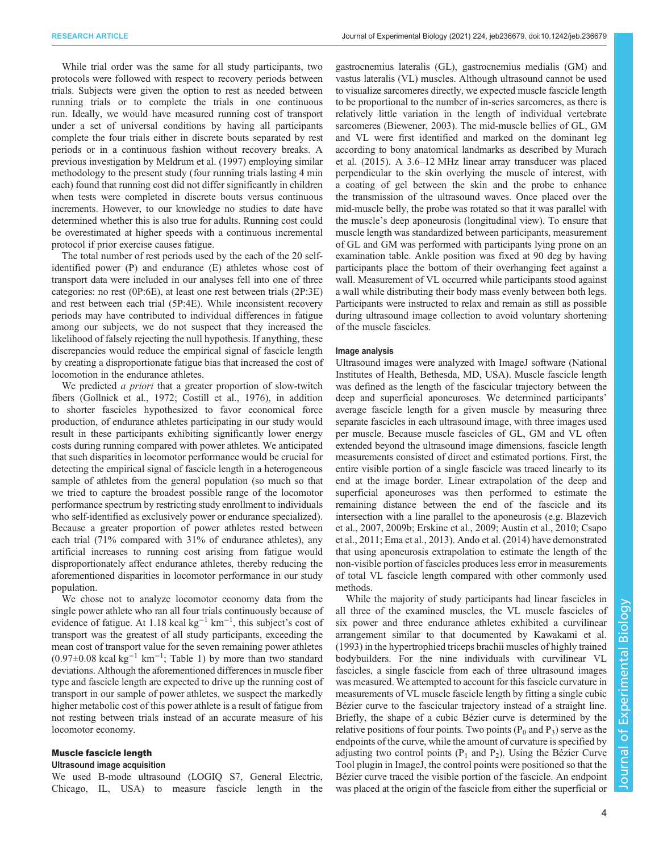While trial order was the same for all study participants, two protocols were followed with respect to recovery periods between trials. Subjects were given the option to rest as needed between running trials or to complete the trials in one continuous run. Ideally, we would have measured running cost of transport under a set of universal conditions by having all participants complete the four trials either in discrete bouts separated by rest periods or in a continuous fashion without recovery breaks. A previous investigation by [Meldrum et al. \(1997\)](#page-10-0) employing similar methodology to the present study (four running trials lasting 4 min each) found that running cost did not differ significantly in children when tests were completed in discrete bouts versus continuous increments. However, to our knowledge no studies to date have determined whether this is also true for adults. Running cost could be overestimated at higher speeds with a continuous incremental protocol if prior exercise causes fatigue.

The total number of rest periods used by the each of the 20 selfidentified power (P) and endurance (E) athletes whose cost of transport data were included in our analyses fell into one of three categories: no rest (0P:6E), at least one rest between trials (2P:3E) and rest between each trial (5P:4E). While inconsistent recovery periods may have contributed to individual differences in fatigue among our subjects, we do not suspect that they increased the likelihood of falsely rejecting the null hypothesis. If anything, these discrepancies would reduce the empirical signal of fascicle length by creating a disproportionate fatigue bias that increased the cost of locomotion in the endurance athletes.

We predicted *a priori* that a greater proportion of slow-twitch fibers [\(Gollnick et al., 1972](#page-10-0); [Costill et al., 1976](#page-9-0)), in addition to shorter fascicles hypothesized to favor economical force production, of endurance athletes participating in our study would result in these participants exhibiting significantly lower energy costs during running compared with power athletes. We anticipated that such disparities in locomotor performance would be crucial for detecting the empirical signal of fascicle length in a heterogeneous sample of athletes from the general population (so much so that we tried to capture the broadest possible range of the locomotor performance spectrum by restricting study enrollment to individuals who self-identified as exclusively power or endurance specialized). Because a greater proportion of power athletes rested between each trial (71% compared with 31% of endurance athletes), any artificial increases to running cost arising from fatigue would disproportionately affect endurance athletes, thereby reducing the aforementioned disparities in locomotor performance in our study population.

We chose not to analyze locomotor economy data from the single power athlete who ran all four trials continuously because of evidence of fatigue. At 1.18 kcal kg<sup>-1</sup> km<sup>-1</sup>, this subject's cost of transport was the greatest of all study participants, exceeding the mean cost of transport value for the seven remaining power athletes  $(0.97\pm0.08 \text{ kcal kg}^{-1} \text{ km}^{-1}$ ; [Table 1\)](#page-2-0) by more than two standard deviations. Although the aforementioned differences in muscle fiber type and fascicle length are expected to drive up the running cost of transport in our sample of power athletes, we suspect the markedly higher metabolic cost of this power athlete is a result of fatigue from not resting between trials instead of an accurate measure of his locomotor economy.

### Muscle fascicle length

#### Ultrasound image acquisition

We used B-mode ultrasound (LOGIQ S7, General Electric, Chicago, IL, USA) to measure fascicle length in the gastrocnemius lateralis (GL), gastrocnemius medialis (GM) and vastus lateralis (VL) muscles. Although ultrasound cannot be used to visualize sarcomeres directly, we expected muscle fascicle length to be proportional to the number of in-series sarcomeres, as there is relatively little variation in the length of individual vertebrate sarcomeres ([Biewener, 2003\)](#page-9-0). The mid-muscle bellies of GL, GM and VL were first identified and marked on the dominant leg according to bony anatomical landmarks as described by [Murach](#page-10-0) [et al. \(2015\).](#page-10-0) A 3.6–12 MHz linear array transducer was placed perpendicular to the skin overlying the muscle of interest, with a coating of gel between the skin and the probe to enhance the transmission of the ultrasound waves. Once placed over the mid-muscle belly, the probe was rotated so that it was parallel with the muscle's deep aponeurosis (longitudinal view). To ensure that muscle length was standardized between participants, measurement of GL and GM was performed with participants lying prone on an examination table. Ankle position was fixed at 90 deg by having participants place the bottom of their overhanging feet against a wall. Measurement of VL occurred while participants stood against a wall while distributing their body mass evenly between both legs. Participants were instructed to relax and remain as still as possible during ultrasound image collection to avoid voluntary shortening of the muscle fascicles.

#### Image analysis

Ultrasound images were analyzed with ImageJ software (National Institutes of Health, Bethesda, MD, USA). Muscle fascicle length was defined as the length of the fascicular trajectory between the deep and superficial aponeuroses. We determined participants' average fascicle length for a given muscle by measuring three separate fascicles in each ultrasound image, with three images used per muscle. Because muscle fascicles of GL, GM and VL often extended beyond the ultrasound image dimensions, fascicle length measurements consisted of direct and estimated portions. First, the entire visible portion of a single fascicle was traced linearly to its end at the image border. Linear extrapolation of the deep and superficial aponeuroses was then performed to estimate the remaining distance between the end of the fascicle and its intersection with a line parallel to the aponeurosis (e.g. [Blazevich](#page-9-0) [et al., 2007](#page-9-0), [2009b;](#page-9-0) [Erskine et al., 2009;](#page-10-0) [Austin et al., 2010](#page-9-0); [Csapo](#page-10-0) [et al., 2011; Ema et al., 2013\)](#page-10-0). [Ando et al. \(2014\)](#page-9-0) have demonstrated that using aponeurosis extrapolation to estimate the length of the non-visible portion of fascicles produces less error in measurements of total VL fascicle length compared with other commonly used methods.

While the majority of study participants had linear fascicles in all three of the examined muscles, the VL muscle fascicles of six power and three endurance athletes exhibited a curvilinear arrangement similar to that documented by [Kawakami et al.](#page-10-0) [\(1993\)](#page-10-0) in the hypertrophied triceps brachii muscles of highly trained bodybuilders. For the nine individuals with curvilinear VL fascicles, a single fascicle from each of three ultrasound images was measured. We attempted to account for this fascicle curvature in measurements of VL muscle fascicle length by fitting a single cubic Bézier curve to the fascicular trajectory instead of a straight line. Briefly, the shape of a cubic Bézier curve is determined by the relative positions of four points. Two points  $(P_0$  and  $P_3$ ) serve as the endpoints of the curve, while the amount of curvature is specified by adjusting two control points  $(P_1 \text{ and } P_2)$ . Using the Bézier Curve Tool plugin in ImageJ, the control points were positioned so that the Bézier curve traced the visible portion of the fascicle. An endpoint was placed at the origin of the fascicle from either the superficial or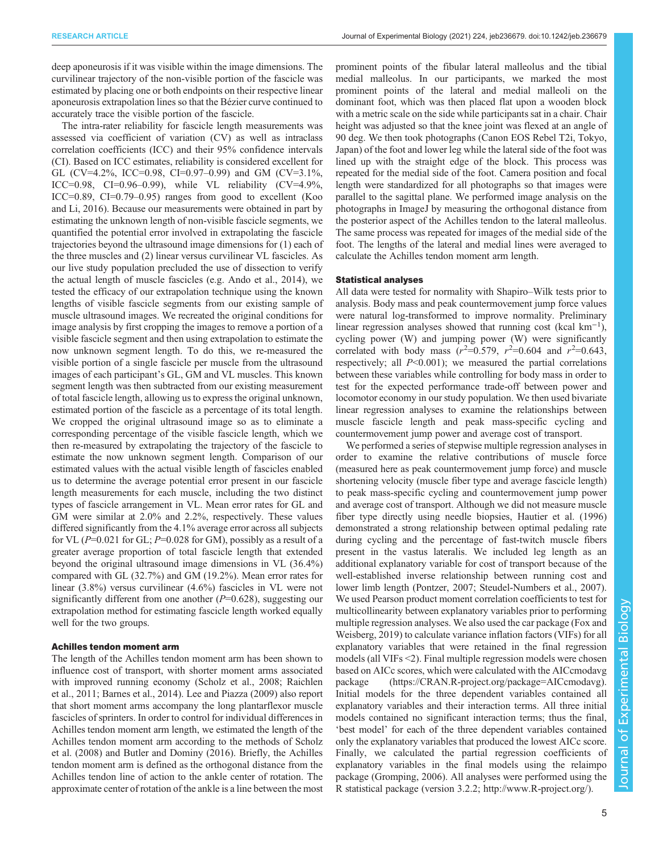deep aponeurosis if it was visible within the image dimensions. The curvilinear trajectory of the non-visible portion of the fascicle was estimated by placing one or both endpoints on their respective linear aponeurosis extrapolation lines so that the Bézier curve continued to accurately trace the visible portion of the fascicle.

The intra-rater reliability for fascicle length measurements was assessed via coefficient of variation (CV) as well as intraclass correlation coefficients (ICC) and their 95% confidence intervals (CI). Based on ICC estimates, reliability is considered excellent for GL (CV=4.2%, ICC=0.98, CI=0.97–0.99) and GM (CV=3.1%, ICC=0.98, CI=0.96–0.99), while VL reliability  $(CV=4.9\%,$ ICC=0.89, CI=0.79–0.95) ranges from good to excellent ([Koo](#page-10-0) [and Li, 2016](#page-10-0)). Because our measurements were obtained in part by estimating the unknown length of non-visible fascicle segments, we quantified the potential error involved in extrapolating the fascicle trajectories beyond the ultrasound image dimensions for (1) each of the three muscles and (2) linear versus curvilinear VL fascicles. As our live study population precluded the use of dissection to verify the actual length of muscle fascicles (e.g. [Ando et al., 2014](#page-9-0)), we tested the efficacy of our extrapolation technique using the known lengths of visible fascicle segments from our existing sample of muscle ultrasound images. We recreated the original conditions for image analysis by first cropping the images to remove a portion of a visible fascicle segment and then using extrapolation to estimate the now unknown segment length. To do this, we re-measured the visible portion of a single fascicle per muscle from the ultrasound images of each participant's GL, GM and VL muscles. This known segment length was then subtracted from our existing measurement of total fascicle length, allowing us to express the original unknown, estimated portion of the fascicle as a percentage of its total length. We cropped the original ultrasound image so as to eliminate a corresponding percentage of the visible fascicle length, which we then re-measured by extrapolating the trajectory of the fascicle to estimate the now unknown segment length. Comparison of our estimated values with the actual visible length of fascicles enabled us to determine the average potential error present in our fascicle length measurements for each muscle, including the two distinct types of fascicle arrangement in VL. Mean error rates for GL and GM were similar at 2.0% and 2.2%, respectively. These values differed significantly from the 4.1% average error across all subjects for VL ( $P=0.021$  for GL;  $P=0.028$  for GM), possibly as a result of a greater average proportion of total fascicle length that extended beyond the original ultrasound image dimensions in VL (36.4%) compared with GL (32.7%) and GM (19.2%). Mean error rates for linear (3.8%) versus curvilinear (4.6%) fascicles in VL were not significantly different from one another  $(P=0.628)$ , suggesting our extrapolation method for estimating fascicle length worked equally well for the two groups.

### Achilles tendon moment arm

The length of the Achilles tendon moment arm has been shown to influence cost of transport, with shorter moment arms associated with improved running economy [\(Scholz et al., 2008; Raichlen](#page-11-0) [et al., 2011;](#page-11-0) [Barnes et al., 2014\)](#page-9-0). [Lee and Piazza \(2009\)](#page-10-0) also report that short moment arms accompany the long plantarflexor muscle fascicles of sprinters. In order to control for individual differences in Achilles tendon moment arm length, we estimated the length of the Achilles tendon moment arm according to the methods of [Scholz](#page-11-0) [et al. \(2008\)](#page-11-0) and [Butler and Dominy \(2016\).](#page-9-0) Briefly, the Achilles tendon moment arm is defined as the orthogonal distance from the Achilles tendon line of action to the ankle center of rotation. The approximate center of rotation of the ankle is a line between the most

prominent points of the fibular lateral malleolus and the tibial medial malleolus. In our participants, we marked the most prominent points of the lateral and medial malleoli on the dominant foot, which was then placed flat upon a wooden block with a metric scale on the side while participants sat in a chair. Chair height was adjusted so that the knee joint was flexed at an angle of 90 deg. We then took photographs (Canon EOS Rebel T2i, Tokyo, Japan) of the foot and lower leg while the lateral side of the foot was lined up with the straight edge of the block. This process was repeated for the medial side of the foot. Camera position and focal length were standardized for all photographs so that images were parallel to the sagittal plane. We performed image analysis on the photographs in ImageJ by measuring the orthogonal distance from the posterior aspect of the Achilles tendon to the lateral malleolus. The same process was repeated for images of the medial side of the foot. The lengths of the lateral and medial lines were averaged to calculate the Achilles tendon moment arm length.

#### Statistical analyses

All data were tested for normality with Shapiro–Wilk tests prior to analysis. Body mass and peak countermovement jump force values were natural log-transformed to improve normality. Preliminary linear regression analyses showed that running cost (kcal km−<sup>1</sup> ), cycling power (W) and jumping power (W) were significantly correlated with body mass  $(r^2=0.579, r^2=0.604$  and  $r^2=0.643$ , respectively; all  $P<0.001$ ; we measured the partial correlations between these variables while controlling for body mass in order to test for the expected performance trade-off between power and locomotor economy in our study population. We then used bivariate linear regression analyses to examine the relationships between muscle fascicle length and peak mass-specific cycling and countermovement jump power and average cost of transport.

We performed a series of stepwise multiple regression analyses in order to examine the relative contributions of muscle force (measured here as peak countermovement jump force) and muscle shortening velocity (muscle fiber type and average fascicle length) to peak mass-specific cycling and countermovement jump power and average cost of transport. Although we did not measure muscle fiber type directly using needle biopsies, [Hautier et al. \(1996\)](#page-10-0) demonstrated a strong relationship between optimal pedaling rate during cycling and the percentage of fast-twitch muscle fibers present in the vastus lateralis. We included leg length as an additional explanatory variable for cost of transport because of the well-established inverse relationship between running cost and lower limb length ([Pontzer, 2007; Steudel-Numbers et al., 2007\)](#page-11-0). We used Pearson product moment correlation coefficients to test for multicollinearity between explanatory variables prior to performing multiple regression analyses. We also used the car package ([Fox and](#page-10-0) [Weisberg, 2019](#page-10-0)) to calculate variance inflation factors (VIFs) for all explanatory variables that were retained in the final regression models (all VIFs <2). Final multiple regression models were chosen based on AICc scores, which were calculated with the AICcmodavg package [\(https://CRAN.R-project.org/package=AICcmodavg\)](https://CRAN.R-project.org/package=AICcmodavg). Initial models for the three dependent variables contained all explanatory variables and their interaction terms. All three initial models contained no significant interaction terms; thus the final, 'best model' for each of the three dependent variables contained only the explanatory variables that produced the lowest AICc score. Finally, we calculated the partial regression coefficients of explanatory variables in the final models using the relaimpo package [\(Gromping, 2006\)](#page-10-0). All analyses were performed using the R statistical package (version 3.2.2;<http://www.R-project.org/>).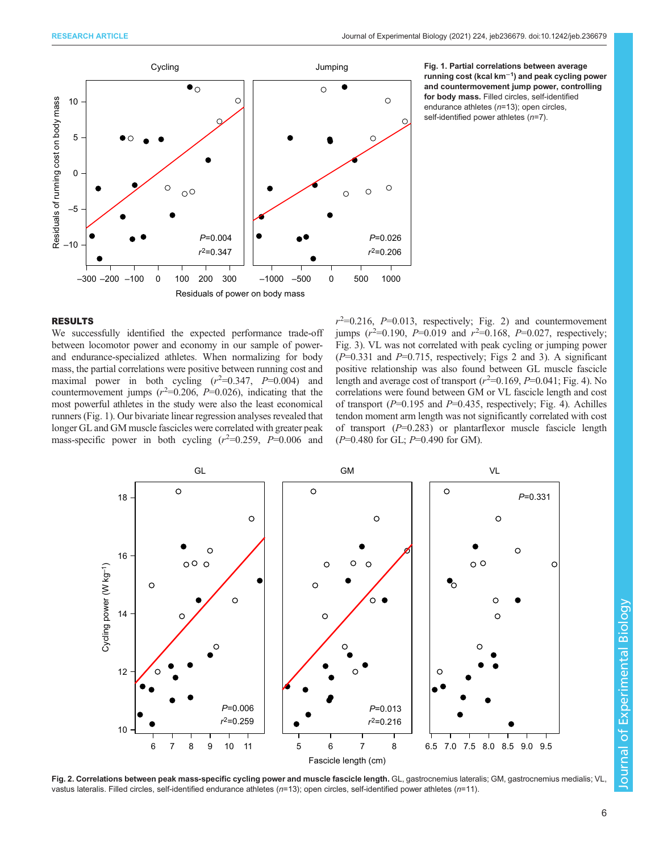

Jumping Fig. 1. Partial correlations between average running cost (kcal km−<sup>1</sup> ) and peak cycling power and countermovement jump power, controlling for body mass. Filled circles, self-identified endurance athletes (n=13); open circles, self-identified power athletes (n=7).

## RESULTS

We successfully identified the expected performance trade-off between locomotor power and economy in our sample of powerand endurance-specialized athletes. When normalizing for body mass, the partial correlations were positive between running cost and maximal power in both cycling  $(r^2=0.347, P=0.004)$  and countermovement jumps  $(r^2=0.206, P=0.026)$ , indicating that the most powerful athletes in the study were also the least economical runners (Fig. 1). Our bivariate linear regression analyses revealed that longer GL and GM muscle fascicles were correlated with greater peak mass-specific power in both cycling  $(r^2=0.259, P=0.006$  and

 $r^2$ =0.216,  $P$ =0.013, respectively; Fig. 2) and countermovement jumps  $(r^2=0.190, P=0.019$  and  $r^2=0.168, P=0.027$ , respectively; [Fig. 3](#page-6-0)). VL was not correlated with peak cycling or jumping power  $(P=0.331$  and  $P=0.715$ , respectively; Figs 2 and [3\)](#page-6-0). A significant positive relationship was also found between GL muscle fascicle length and average cost of transport  $(r^2=0.169, P=0.041; Fig. 4)$  $(r^2=0.169, P=0.041; Fig. 4)$ . No correlations were found between GM or VL fascicle length and cost of transport ( $P=0.195$  and  $P=0.435$ , respectively; [Fig. 4\)](#page-6-0). Achilles tendon moment arm length was not significantly correlated with cost of transport  $(P=0.283)$  or plantarflexor muscle fascicle length  $(P=0.480$  for GL;  $P=0.490$  for GM).



Fig. 2. Correlations between peak mass-specific cycling power and muscle fascicle length. GL, gastrocnemius lateralis; GM, gastrocnemius medialis; VL vastus lateralis. Filled circles, self-identified endurance athletes (n=13); open circles, self-identified power athletes (n=11).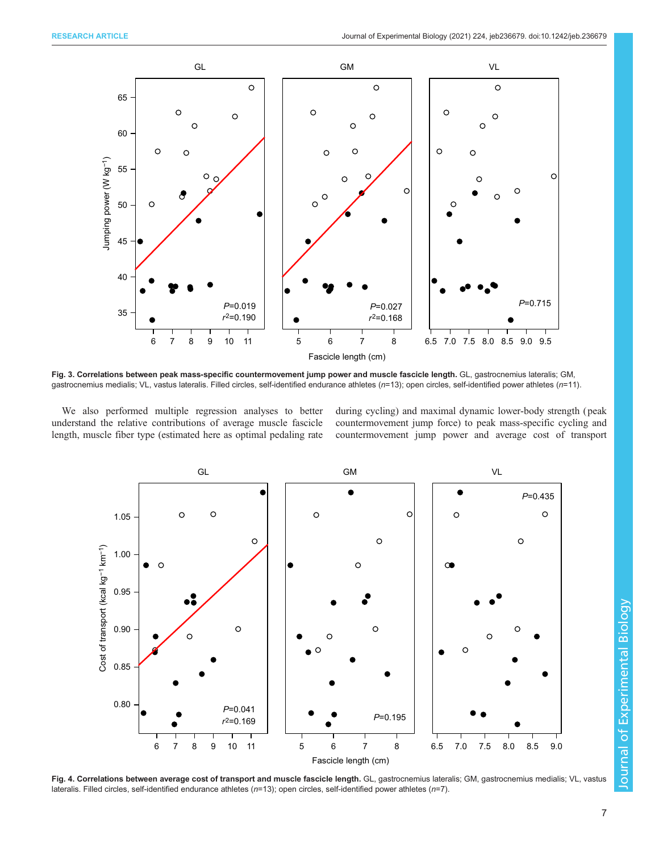<span id="page-6-0"></span>

Fig. 3. Correlations between peak mass-specific countermovement jump power and muscle fascicle length. GL, gastrocnemius lateralis; GM, gastrocnemius medialis; VL, vastus lateralis. Filled circles, self-identified endurance athletes (n=13); open circles, self-identified power athletes (n=11).

We also performed multiple regression analyses to better understand the relative contributions of average muscle fascicle length, muscle fiber type (estimated here as optimal pedaling rate

during cycling) and maximal dynamic lower-body strength ( peak countermovement jump force) to peak mass-specific cycling and countermovement jump power and average cost of transport



Fig. 4. Correlations between average cost of transport and muscle fascicle length. GL, gastrocnemius lateralis; GM, gastrocnemius medialis; VL, vastus lateralis. Filled circles, self-identified endurance athletes ( $n=13$ ); open circles, self-identified power athletes ( $n=7$ ).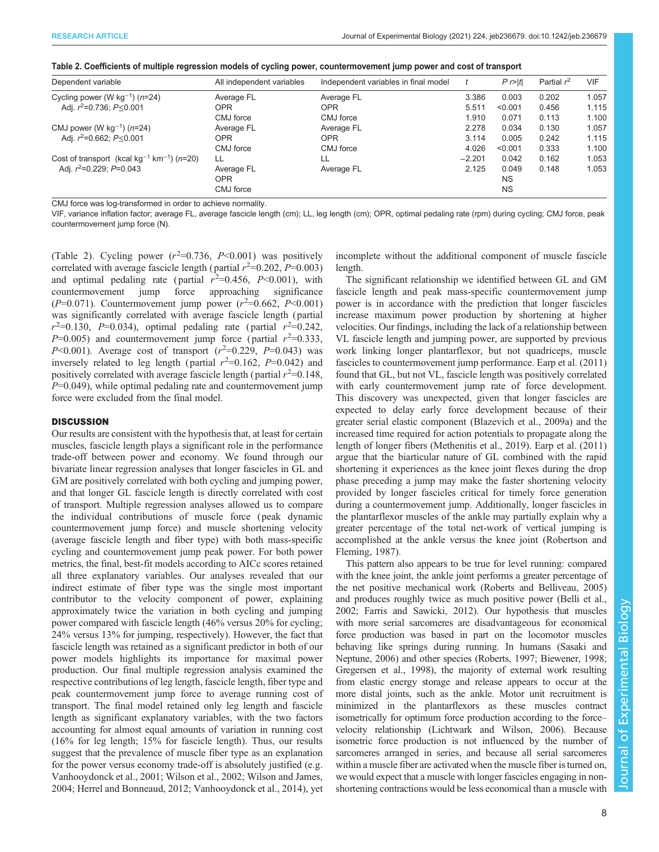|  |  | Table 2. Coefficients of multiple regression models of cycling power, countermovement jump power and cost of transport |
|--|--|------------------------------------------------------------------------------------------------------------------------|
|  |  |                                                                                                                        |

| Dependent variable                                                     | All independent variables | Independent variables in final model |          | $P \sim  t $ | Partial $r^2$ | <b>VIF</b> |
|------------------------------------------------------------------------|---------------------------|--------------------------------------|----------|--------------|---------------|------------|
| Cycling power (W $kg^{-1}$ ) ( $n=24$ )                                | Average FL                | Average FL                           | 3.386    | 0.003        | 0.202         | 1.057      |
| Adj. $r^2 = 0.736$ ; $P \le 0.001$                                     | <b>OPR</b>                | <b>OPR</b>                           | 5.511    | < 0.001      | 0.456         | 1.115      |
|                                                                        | CMJ force                 | CMJ force                            | 1.910    | 0.071        | 0.113         | 1.100      |
| CMJ power (W $kg^{-1}$ ) ( $n=24$ )                                    | Average FL                | Average FL                           | 2.278    | 0.034        | 0.130         | 1.057      |
| Adj. $r^2 = 0.662$ ; $P \le 0.001$                                     | <b>OPR</b>                | <b>OPR</b>                           | 3.114    | 0.005        | 0.242         | 1.115      |
|                                                                        | CMJ force                 | CMJ force                            | 4.026    | < 0.001      | 0.333         | 1.100      |
| Cost of transport (kcal kg <sup>-1</sup> km <sup>-1</sup> ) ( $n=20$ ) | LL                        | LL                                   | $-2.201$ | 0.042        | 0.162         | 1.053      |
| Adj. $r^2 = 0.229$ ; $P = 0.043$                                       | Average FL                | Average FL                           | 2.125    | 0.049        | 0.148         | 1.053      |
|                                                                        | <b>OPR</b>                |                                      |          | <b>NS</b>    |               |            |
|                                                                        | CMJ force                 |                                      |          | <b>NS</b>    |               |            |

CMJ force was log-transformed in order to achieve normality.

VIF, variance inflation factor; average FL, average fascicle length (cm); LL, leg length (cm); OPR, optimal pedaling rate (rpm) during cycling; CMJ force, peak countermovement jump force (N).

(Table 2). Cycling power  $(r^2=0.736, P<0.001)$  was positively correlated with average fascicle length (partial  $r^2=0.202$ ,  $P=0.003$ ) and optimal pedaling rate (partial  $r^2=0.456$ ,  $P<0.001$ ), with countermovement jump force approaching significance  $(P=0.071)$ . Countermovement jump power  $(r^2=0.662, P<0.001)$ was significantly correlated with average fascicle length ( partial  $r^2 = 0.130$ ,  $P = 0.034$ ), optimal pedaling rate (partial  $r^2 = 0.242$ ,  $P=0.005$ ) and countermovement jump force (partial  $r^2=0.333$ ,  $P<0.001$ ). Average cost of transport  $(r^2=0.229, P=0.043)$  was inversely related to leg length (partial  $r^2=0.162$ ,  $P=0.042$ ) and positively correlated with average fascicle length (partial  $r^2=0.148$ ,  $P=0.049$ , while optimal pedaling rate and countermovement jump force were excluded from the final model.

# **DISCUSSION**

Our results are consistent with the hypothesis that, at least for certain muscles, fascicle length plays a significant role in the performance trade-off between power and economy. We found through our bivariate linear regression analyses that longer fascicles in GL and GM are positively correlated with both cycling and jumping power, and that longer GL fascicle length is directly correlated with cost of transport. Multiple regression analyses allowed us to compare the individual contributions of muscle force ( peak dynamic countermovement jump force) and muscle shortening velocity (average fascicle length and fiber type) with both mass-specific cycling and countermovement jump peak power. For both power metrics, the final, best-fit models according to AICc scores retained all three explanatory variables. Our analyses revealed that our indirect estimate of fiber type was the single most important contributor to the velocity component of power, explaining approximately twice the variation in both cycling and jumping power compared with fascicle length (46% versus 20% for cycling; 24% versus 13% for jumping, respectively). However, the fact that fascicle length was retained as a significant predictor in both of our power models highlights its importance for maximal power production. Our final multiple regression analysis examined the respective contributions of leg length, fascicle length, fiber type and peak countermovement jump force to average running cost of transport. The final model retained only leg length and fascicle length as significant explanatory variables, with the two factors accounting for almost equal amounts of variation in running cost (16% for leg length; 15% for fascicle length). Thus, our results suggest that the prevalence of muscle fiber type as an explanation for the power versus economy trade-off is absolutely justified (e.g. [Vanhooydonck et al., 2001](#page-11-0); [Wilson et al., 2002; Wilson and James,](#page-11-0) [2004](#page-11-0); [Herrel and Bonneaud, 2012](#page-10-0); [Vanhooydonck et al., 2014](#page-11-0)), yet

incomplete without the additional component of muscle fascicle length.

The significant relationship we identified between GL and GM fascicle length and peak mass-specific countermovement jump power is in accordance with the prediction that longer fascicles increase maximum power production by shortening at higher velocities. Our findings, including the lack of a relationship between VL fascicle length and jumping power, are supported by previous work linking longer plantarflexor, but not quadriceps, muscle fascicles to countermovement jump performance. [Earp et al. \(2011\)](#page-10-0) found that GL, but not VL, fascicle length was positively correlated with early countermovement jump rate of force development. This discovery was unexpected, given that longer fascicles are expected to delay early force development because of their greater serial elastic component [\(Blazevich et al., 2009a](#page-9-0)) and the increased time required for action potentials to propagate along the length of longer fibers ([Methenitis et al., 2019\)](#page-10-0). [Earp et al. \(2011\)](#page-10-0) argue that the biarticular nature of GL combined with the rapid shortening it experiences as the knee joint flexes during the drop phase preceding a jump may make the faster shortening velocity provided by longer fascicles critical for timely force generation during a countermovement jump. Additionally, longer fascicles in the plantarflexor muscles of the ankle may partially explain why a greater percentage of the total net-work of vertical jumping is accomplished at the ankle versus the knee joint ([Robertson and](#page-11-0) [Fleming, 1987](#page-11-0)).

This pattern also appears to be true for level running: compared with the knee joint, the ankle joint performs a greater percentage of the net positive mechanical work ([Roberts and Belliveau, 2005\)](#page-11-0) and produces roughly twice as much positive power ([Belli et al.,](#page-9-0) [2002;](#page-9-0) [Farris and Sawicki, 2012\)](#page-10-0). Our hypothesis that muscles with more serial sarcomeres are disadvantageous for economical force production was based in part on the locomotor muscles behaving like springs during running. In humans ([Sasaki and](#page-11-0) [Neptune, 2006](#page-11-0)) and other species [\(Roberts, 1997;](#page-11-0) [Biewener, 1998](#page-9-0); [Gregersen et al., 1998](#page-10-0)), the majority of external work resulting from elastic energy storage and release appears to occur at the more distal joints, such as the ankle. Motor unit recruitment is minimized in the plantarflexors as these muscles contract isometrically for optimum force production according to the force– velocity relationship [\(Lichtwark and Wilson, 2006\)](#page-10-0). Because isometric force production is not influenced by the number of sarcomeres arranged in series, and because all serial sarcomeres within a muscle fiber are activated when the muscle fiber is turned on, we would expect that a muscle with longer fascicles engaging in nonshortening contractions would be less economical than a muscle with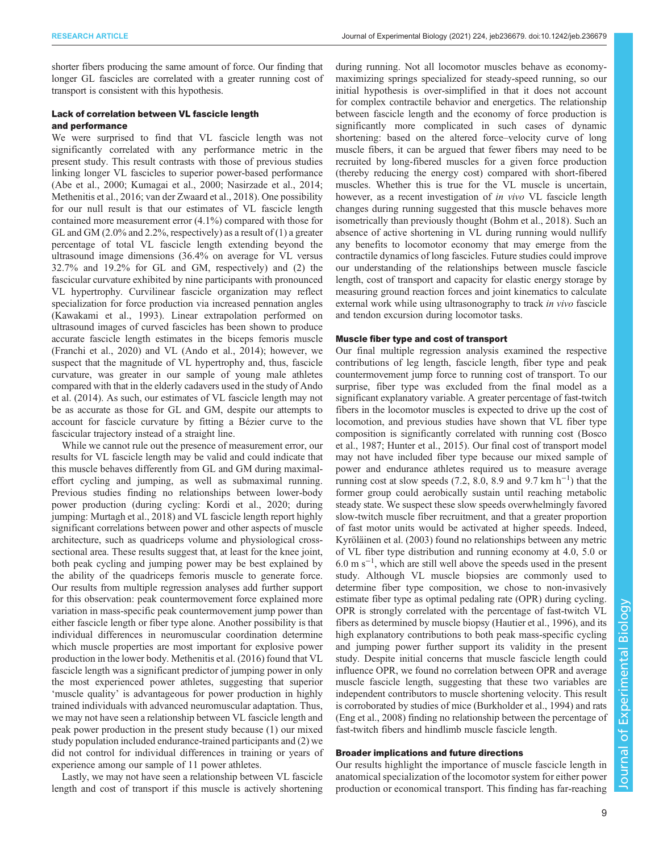shorter fibers producing the same amount of force. Our finding that longer GL fascicles are correlated with a greater running cost of transport is consistent with this hypothesis.

# Lack of correlation between VL fascicle length and performance

We were surprised to find that VL fascicle length was not significantly correlated with any performance metric in the present study. This result contrasts with those of previous studies linking longer VL fascicles to superior power-based performance [\(Abe et al., 2000](#page-9-0); [Kumagai et al., 2000; Nasirzade et al., 2014](#page-10-0); [Methenitis et al., 2016;](#page-10-0) [van der Zwaard et al., 2018\)](#page-11-0). One possibility for our null result is that our estimates of VL fascicle length contained more measurement error (4.1%) compared with those for GL and GM  $(2.0\%$  and 2.2%, respectively) as a result of  $(1)$  a greater percentage of total VL fascicle length extending beyond the ultrasound image dimensions (36.4% on average for VL versus 32.7% and 19.2% for GL and GM, respectively) and (2) the fascicular curvature exhibited by nine participants with pronounced VL hypertrophy. Curvilinear fascicle organization may reflect specialization for force production via increased pennation angles [\(Kawakami et al., 1993\)](#page-10-0). Linear extrapolation performed on ultrasound images of curved fascicles has been shown to produce accurate fascicle length estimates in the biceps femoris muscle [\(Franchi et al., 2020](#page-10-0)) and VL ([Ando et al., 2014\)](#page-9-0); however, we suspect that the magnitude of VL hypertrophy and, thus, fascicle curvature, was greater in our sample of young male athletes compared with that in the elderly cadavers used in the study of [Ando](#page-9-0) [et al. \(2014](#page-9-0)). As such, our estimates of VL fascicle length may not be as accurate as those for GL and GM, despite our attempts to account for fascicle curvature by fitting a Bézier curve to the fascicular trajectory instead of a straight line.

While we cannot rule out the presence of measurement error, our results for VL fascicle length may be valid and could indicate that this muscle behaves differently from GL and GM during maximaleffort cycling and jumping, as well as submaximal running. Previous studies finding no relationships between lower-body power production (during cycling: [Kordi et al., 2020](#page-10-0); during jumping: [Murtagh et al., 2018\)](#page-10-0) and VL fascicle length report highly significant correlations between power and other aspects of muscle architecture, such as quadriceps volume and physiological crosssectional area. These results suggest that, at least for the knee joint, both peak cycling and jumping power may be best explained by the ability of the quadriceps femoris muscle to generate force. Our results from multiple regression analyses add further support for this observation: peak countermovement force explained more variation in mass-specific peak countermovement jump power than either fascicle length or fiber type alone. Another possibility is that individual differences in neuromuscular coordination determine which muscle properties are most important for explosive power production in the lower body. [Methenitis et al. \(2016\)](#page-10-0) found that VL fascicle length was a significant predictor of jumping power in only the most experienced power athletes, suggesting that superior 'muscle quality' is advantageous for power production in highly trained individuals with advanced neuromuscular adaptation. Thus, we may not have seen a relationship between VL fascicle length and peak power production in the present study because (1) our mixed study population included endurance-trained participants and (2) we did not control for individual differences in training or years of experience among our sample of 11 power athletes.

Lastly, we may not have seen a relationship between VL fascicle length and cost of transport if this muscle is actively shortening during running. Not all locomotor muscles behave as economymaximizing springs specialized for steady-speed running, so our initial hypothesis is over-simplified in that it does not account for complex contractile behavior and energetics. The relationship between fascicle length and the economy of force production is significantly more complicated in such cases of dynamic shortening: based on the altered force–velocity curve of long muscle fibers, it can be argued that fewer fibers may need to be recruited by long-fibered muscles for a given force production (thereby reducing the energy cost) compared with short-fibered muscles. Whether this is true for the VL muscle is uncertain, however, as a recent investigation of in vivo VL fascicle length changes during running suggested that this muscle behaves more isometrically than previously thought ([Bohm et al., 2018](#page-9-0)). Such an absence of active shortening in VL during running would nullify any benefits to locomotor economy that may emerge from the contractile dynamics of long fascicles. Future studies could improve our understanding of the relationships between muscle fascicle length, cost of transport and capacity for elastic energy storage by measuring ground reaction forces and joint kinematics to calculate external work while using ultrasonography to track in vivo fascicle and tendon excursion during locomotor tasks.

## Muscle fiber type and cost of transport

Our final multiple regression analysis examined the respective contributions of leg length, fascicle length, fiber type and peak countermovement jump force to running cost of transport. To our surprise, fiber type was excluded from the final model as a significant explanatory variable. A greater percentage of fast-twitch fibers in the locomotor muscles is expected to drive up the cost of locomotion, and previous studies have shown that VL fiber type composition is significantly correlated with running cost [\(Bosco](#page-9-0) [et al., 1987;](#page-9-0) [Hunter et al., 2015](#page-10-0)). Our final cost of transport model may not have included fiber type because our mixed sample of power and endurance athletes required us to measure average running cost at slow speeds (7.2, 8.0, 8.9 and 9.7 km  $h^{-1}$ ) that the former group could aerobically sustain until reaching metabolic steady state. We suspect these slow speeds overwhelmingly favored slow-twitch muscle fiber recruitment, and that a greater proportion of fast motor units would be activated at higher speeds. Indeed, [Kyröläinen et al. \(2003\)](#page-10-0) found no relationships between any metric of VL fiber type distribution and running economy at 4.0, 5.0 or 6.0 m s−<sup>1</sup> , which are still well above the speeds used in the present study. Although VL muscle biopsies are commonly used to determine fiber type composition, we chose to non-invasively estimate fiber type as optimal pedaling rate (OPR) during cycling. OPR is strongly correlated with the percentage of fast-twitch VL fibers as determined by muscle biopsy [\(Hautier et al., 1996\)](#page-10-0), and its high explanatory contributions to both peak mass-specific cycling and jumping power further support its validity in the present study. Despite initial concerns that muscle fascicle length could influence OPR, we found no correlation between OPR and average muscle fascicle length, suggesting that these two variables are independent contributors to muscle shortening velocity. This result is corroborated by studies of mice [\(Burkholder et al., 1994\)](#page-9-0) and rats [\(Eng et al., 2008](#page-10-0)) finding no relationship between the percentage of fast-twitch fibers and hindlimb muscle fascicle length.

# Broader implications and future directions

Our results highlight the importance of muscle fascicle length in anatomical specialization of the locomotor system for either power production or economical transport. This finding has far-reaching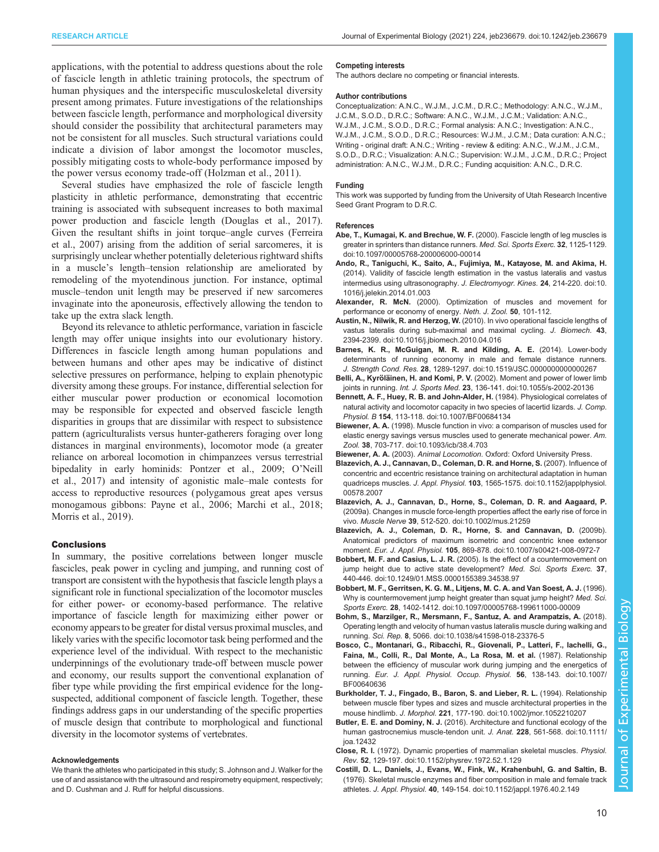<span id="page-9-0"></span>applications, with the potential to address questions about the role of fascicle length in athletic training protocols, the spectrum of human physiques and the interspecific musculoskeletal diversity present among primates. Future investigations of the relationships between fascicle length, performance and morphological diversity should consider the possibility that architectural parameters may not be consistent for all muscles. Such structural variations could indicate a division of labor amongst the locomotor muscles, possibly mitigating costs to whole-body performance imposed by the power versus economy trade-off [\(Holzman et al., 2011\)](#page-10-0).

Several studies have emphasized the role of fascicle length plasticity in athletic performance, demonstrating that eccentric training is associated with subsequent increases to both maximal power production and fascicle length ([Douglas et al., 2017\)](#page-10-0). Given the resultant shifts in joint torque–angle curves [\(Ferreira](#page-10-0) [et al., 2007\)](#page-10-0) arising from the addition of serial sarcomeres, it is surprisingly unclear whether potentially deleterious rightward shifts in a muscle's length–tension relationship are ameliorated by remodeling of the myotendinous junction. For instance, optimal muscle–tendon unit length may be preserved if new sarcomeres invaginate into the aponeurosis, effectively allowing the tendon to take up the extra slack length.

Beyond its relevance to athletic performance, variation in fascicle length may offer unique insights into our evolutionary history. Differences in fascicle length among human populations and between humans and other apes may be indicative of distinct selective pressures on performance, helping to explain phenotypic diversity among these groups. For instance, differential selection for either muscular power production or economical locomotion may be responsible for expected and observed fascicle length disparities in groups that are dissimilar with respect to subsistence pattern (agriculturalists versus hunter-gatherers foraging over long distances in marginal environments), locomotor mode (a greater reliance on arboreal locomotion in chimpanzees versus terrestrial bipedality in early hominids: [Pontzer et al., 2009](#page-11-0); O'[Neill](#page-11-0) [et al., 2017\)](#page-11-0) and intensity of agonistic male–male contests for access to reproductive resources ( polygamous great apes versus monogamous gibbons: [Payne et al., 2006](#page-11-0); [Marchi et al., 2018](#page-10-0); [Morris et al., 2019\)](#page-10-0).

# **Conclusions**

In summary, the positive correlations between longer muscle fascicles, peak power in cycling and jumping, and running cost of transport are consistent with the hypothesis that fascicle length plays a significant role in functional specialization of the locomotor muscles for either power- or economy-based performance. The relative importance of fascicle length for maximizing either power or economy appears to be greater for distal versus proximal muscles, and likely varies with the specific locomotor task being performed and the experience level of the individual. With respect to the mechanistic underpinnings of the evolutionary trade-off between muscle power and economy, our results support the conventional explanation of fiber type while providing the first empirical evidence for the longsuspected, additional component of fascicle length. Together, these findings address gaps in our understanding of the specific properties of muscle design that contribute to morphological and functional diversity in the locomotor systems of vertebrates.

#### Acknowledgements

We thank the athletes who participated in this study; S. Johnson and J. Walker for the use of and assistance with the ultrasound and respirometry equipment, respectively; and D. Cushman and J. Ruff for helpful discussions.

#### Competing interests

The authors declare no competing or financial interests.

#### Author contributions

Conceptualization: A.N.C., W.J.M., J.C.M., D.R.C.; Methodology: A.N.C., W.J.M., J.C.M., S.O.D., D.R.C.; Software: A.N.C., W.J.M., J.C.M.; Validation: A.N.C., W.J.M., J.C.M., S.O.D., D.R.C.; Formal analysis: A.N.C.; Investigation: A.N.C. W.J.M., J.C.M., S.O.D., D.R.C.; Resources: W.J.M., J.C.M.; Data curation: A.N.C.; Writing - original draft: A.N.C.; Writing - review & editing: A.N.C., W.J.M., J.C.M., S.O.D., D.R.C.; Visualization: A.N.C.; Supervision: W.J.M., J.C.M., D.R.C.; Project administration: A.N.C., W.J.M., D.R.C.; Funding acquisition: A.N.C., D.R.C.

#### Funding

This work was supported by funding from the University of Utah Research Incentive Seed Grant Program to D.R.C.

#### References

- [Abe, T., Kumagai, K. and Brechue, W. F.](https://doi.org/10.1097/00005768-200006000-00014) (2000). Fascicle length of leg muscles is [greater in sprinters than distance runners.](https://doi.org/10.1097/00005768-200006000-00014) Med. Sci. Sports Exerc. 32, 1125-1129. [doi:10.1097/00005768-200006000-00014](https://doi.org/10.1097/00005768-200006000-00014)
- [Ando, R., Taniguchi, K., Saito, A., Fujimiya, M., Katayose, M. and Akima, H.](https://doi.org/10.1016/j.jelekin.2014.01.003) [\(2014\). Validity of fascicle length estimation in the vastus lateralis and vastus](https://doi.org/10.1016/j.jelekin.2014.01.003) [intermedius using ultrasonography.](https://doi.org/10.1016/j.jelekin.2014.01.003) J. Electromyogr. Kines. 24, 214-220. doi:10. [1016/j.jelekin.2014.01.003](https://doi.org/10.1016/j.jelekin.2014.01.003)
- Alexander, R. McN. (2000). Optimization of muscles and movement for performance or economy of energy. Neth. J. Zool. 50, 101-112.
- Austin, N., Nilwik, R. and Herzog, W. [\(2010\). In vivo operational fascicle lengths of](https://doi.org/10.1016/j.jbiomech.2010.04.016) [vastus lateralis during sub-maximal and maximal cycling.](https://doi.org/10.1016/j.jbiomech.2010.04.016) J. Biomech. 43, [2394-2399. doi:10.1016/j.jbiomech.2010.04.016](https://doi.org/10.1016/j.jbiomech.2010.04.016)
- [Barnes, K. R., McGuigan, M. R. and Kilding, A. E.](https://doi.org/10.1519/JSC.0000000000000267) (2014). Lower-body [determinants of running economy in male and female distance runners.](https://doi.org/10.1519/JSC.0000000000000267) J. Strength Cond. Res. 28[, 1289-1297. doi:10.1519/JSC.0000000000000267](https://doi.org/10.1519/JSC.0000000000000267)
- Belli, A., Kyröläinen, H. and Komi, P. V. [\(2002\). Moment and power of lower limb](https://doi.org/10.1055/s-2002-20136) joints in running. Int. J. Sports Med. 23[, 136-141. doi:10.1055/s-2002-20136](https://doi.org/10.1055/s-2002-20136)
- [Bennett, A. F., Huey, R. B. and John-Alder, H.](https://doi.org/10.1007/BF00684134) (1984). Physiological correlates of [natural activity and locomotor capacity in two species of lacertid lizards.](https://doi.org/10.1007/BF00684134) J. Comp. Physiol. B 154[, 113-118. doi:10.1007/BF00684134](https://doi.org/10.1007/BF00684134)
- Biewener, A. A. [\(1998\). Muscle function in vivo: a comparison of muscles used for](https://doi.org/10.1093/icb/38.4.703) [elastic energy savings versus muscles used to generate mechanical power.](https://doi.org/10.1093/icb/38.4.703) Am. Zool. 38[, 703-717. doi:10.1093/icb/38.4.703](https://doi.org/10.1093/icb/38.4.703)
- Biewener, A. A. (2003). Animal Locomotion. Oxford: Oxford University Press.
- [Blazevich, A. J., Cannavan, D., Coleman, D. R. and Horne, S.](https://doi.org/10.1152/japplphysiol.00578.2007) (2007). Influence of [concentric and eccentric resistance training on architectural adaptation in human](https://doi.org/10.1152/japplphysiol.00578.2007) quadriceps muscles. J. Appl. Physiol. 103[, 1565-1575. doi:10.1152/japplphysiol.](https://doi.org/10.1152/japplphysiol.00578.2007) [00578.2007](https://doi.org/10.1152/japplphysiol.00578.2007)
- [Blazevich, A. J., Cannavan, D., Horne, S., Coleman, D. R. and Aagaard, P.](https://doi.org/10.1002/mus.21259) [\(2009a\). Changes in muscle force-length properties affect the early rise of force in](https://doi.org/10.1002/mus.21259) vivo. Muscle Nerve 39[, 512-520. doi:10.1002/mus.21259](https://doi.org/10.1002/mus.21259)
- [Blazevich, A. J., Coleman, D. R., Horne, S. and Cannavan, D.](https://doi.org/10.1007/s00421-008-0972-7) (2009b). [Anatomical predictors of maximum isometric and concentric knee extensor](https://doi.org/10.1007/s00421-008-0972-7) moment. Eur. J. Appl. Physiol. 105[, 869-878. doi:10.1007/s00421-008-0972-7](https://doi.org/10.1007/s00421-008-0972-7)
- Bobbert, M. F. and Casius, L. J. R. [\(2005\). Is the effect of a countermovement on](https://doi.org/10.1249/01.MSS.0000155389.34538.97) [jump height due to active state development?](https://doi.org/10.1249/01.MSS.0000155389.34538.97) Med. Sci. Sports Exerc. 37, [440-446. doi:10.1249/01.MSS.0000155389.34538.97](https://doi.org/10.1249/01.MSS.0000155389.34538.97)
- [Bobbert, M. F., Gerritsen, K. G. M., Litjens, M. C. A. and Van Soest, A. J.](https://doi.org/10.1097/00005768-199611000-00009) (1996). [Why is countermovement jump height greater than squat jump height?](https://doi.org/10.1097/00005768-199611000-00009) Med. Sci. Sports Exerc. 28[, 1402-1412. doi:10.1097/00005768-199611000-00009](https://doi.org/10.1097/00005768-199611000-00009)
- [Bohm, S., Marzilger, R., Mersmann, F., Santuz, A. and Arampatzis, A.](https://doi.org/10.1038/s41598-018-23376-5) (2018). [Operating length and velocity of human vastus lateralis muscle during walking and](https://doi.org/10.1038/s41598-018-23376-5) running. Sci. Rep. 8[, 5066. doi:10.1038/s41598-018-23376-5](https://doi.org/10.1038/s41598-018-23376-5)
- [Bosco, C., Montanari, G., Ribacchi, R., Giovenali, P., Latteri, F., Iachelli, G.,](https://doi.org/10.1007/BF00640636) [Faina, M., Colli, R., Dal Monte, A., La Rosa, M. et al.](https://doi.org/10.1007/BF00640636) (1987). Relationship [between the efficiency of muscular work during jumping and the energetics of](https://doi.org/10.1007/BF00640636) running. [Eur. J. Appl. Physiol. Occup. Physiol.](https://doi.org/10.1007/BF00640636) 56, 138-143. doi:10.1007/ [BF00640636](https://doi.org/10.1007/BF00640636)
- [Burkholder, T. J., Fingado, B., Baron, S. and Lieber, R. L.](https://doi.org/10.1002/jmor.1052210207) (1994). Relationship [between muscle fiber types and sizes and muscle architectural properties in the](https://doi.org/10.1002/jmor.1052210207) mouse hindlimb. J. Morphol. 221[, 177-190. doi:10.1002/jmor.1052210207](https://doi.org/10.1002/jmor.1052210207)
- Butler, E. E. and Dominy, N. J. [\(2016\). Architecture and functional ecology of the](https://doi.org/10.1111/joa.12432) [human gastrocnemius muscle-tendon unit.](https://doi.org/10.1111/joa.12432) J. Anat. 228, 561-568. doi:10.1111/ [joa.12432](https://doi.org/10.1111/joa.12432)
- Close, R. I. [\(1972\). Dynamic properties of mammalian skeletal muscles.](https://doi.org/10.1152/physrev.1972.52.1.129) Physiol. Rev. 52[, 129-197. doi:10.1152/physrev.1972.52.1.129](https://doi.org/10.1152/physrev.1972.52.1.129)
- [Costill, D. L., Daniels, J., Evans, W., Fink, W., Krahenbuhl, G. and Saltin, B.](https://doi.org/10.1152/jappl.1976.40.2.149) [\(1976\). Skeletal muscle enzymes and fiber composition in male and female track](https://doi.org/10.1152/jappl.1976.40.2.149) athletes. J. Appl. Physiol. 40[, 149-154. doi:10.1152/jappl.1976.40.2.149](https://doi.org/10.1152/jappl.1976.40.2.149)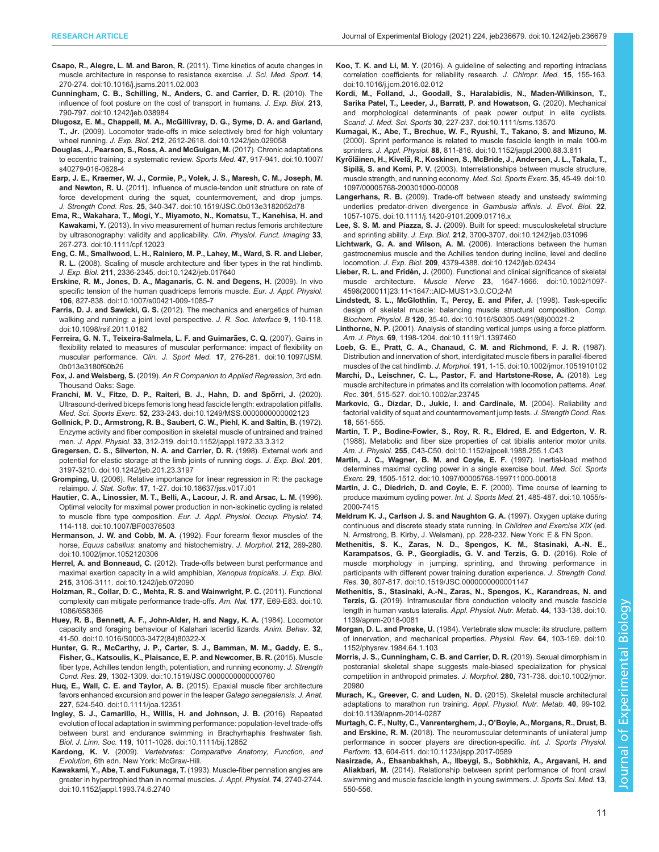- <span id="page-10-0"></span>Csapo, R., Alegre, L. M. and Baron, R. [\(2011\). Time kinetics of acute changes in](https://doi.org/10.1016/j.jsams.2011.02.003) [muscle architecture in response to resistance exercise.](https://doi.org/10.1016/j.jsams.2011.02.003) J. Sci. Med. Sport. 14, [270-274. doi:10.1016/j.jsams.2011.02.003](https://doi.org/10.1016/j.jsams.2011.02.003)
- [Cunningham, C. B., Schilling, N., Anders, C. and Carrier, D. R.](https://doi.org/10.1242/jeb.038984) (2010). The [influence of foot posture on the cost of transport in humans.](https://doi.org/10.1242/jeb.038984) J. Exp. Biol. 213, [790-797. doi:10.1242/jeb.038984](https://doi.org/10.1242/jeb.038984)
- [Dlugosz, E. M., Chappell, M. A., McGillivray, D. G., Syme, D. A. and Garland,](https://doi.org/10.1242/jeb.029058) T., Jr. [\(2009\). Locomotor trade-offs in mice selectively bred for high voluntary](https://doi.org/10.1242/jeb.029058) wheel running. J. Exp. Biol. 212[, 2612-2618. doi:10.1242/jeb.029058](https://doi.org/10.1242/jeb.029058)
- [Douglas, J., Pearson, S., Ross, A. and McGuigan, M.](https://doi.org/10.1007/s40279-016-0628-4) (2017). Chronic adaptations [to eccentric training: a systematic review.](https://doi.org/10.1007/s40279-016-0628-4) Sports Med. 47, 917-941. doi:10.1007/ [s40279-016-0628-4](https://doi.org/10.1007/s40279-016-0628-4)
- [Earp, J. E., Kraemer, W. J., Cormie, P., Volek, J. S., Maresh, C. M., Joseph, M.](https://doi.org/10.1519/JSC.0b013e3182052d78) and Newton, R. U. [\(2011\). Influence of muscle-tendon unit structure on rate of](https://doi.org/10.1519/JSC.0b013e3182052d78) [force development during the squat, countermovement, and drop jumps.](https://doi.org/10.1519/JSC.0b013e3182052d78) J. Strength Cond. Res. 25[, 340-347. doi:10.1519/JSC.0b013e3182052d78](https://doi.org/10.1519/JSC.0b013e3182052d78)
- [Ema, R., Wakahara, T., Mogi, Y., Miyamoto, N., Komatsu, T., Kanehisa, H. and](https://doi.org/10.1111/cpf.12023) Kawakami, Y. [\(2013\). In vivo measurement of human rectus femoris architecture](https://doi.org/10.1111/cpf.12023) [by ultrasonography: validity and applicability.](https://doi.org/10.1111/cpf.12023) Clin. Physiol. Funct. Imaging 33, [267-273. doi:10.1111/cpf.12023](https://doi.org/10.1111/cpf.12023)
- [Eng, C. M., Smallwood, L. H., Rainiero, M. P., Lahey, M., Ward, S. R. and Lieber,](https://doi.org/10.1242/jeb.017640) R. L. [\(2008\). Scaling of muscle architecture and fiber types in the rat hindlimb.](https://doi.org/10.1242/jeb.017640) J. Exp. Biol. 211[, 2336-2345. doi:10.1242/jeb.017640](https://doi.org/10.1242/jeb.017640)
- [Erskine, R. M., Jones, D. A., Maganaris, C. N. and Degens, H.](https://doi.org/10.1007/s00421-009-1085-7) (2009). In vivo [specific tension of the human quadriceps femoris muscle.](https://doi.org/10.1007/s00421-009-1085-7) Eur. J. Appl. Physiol. 106[, 827-838. doi:10.1007/s00421-009-1085-7](https://doi.org/10.1007/s00421-009-1085-7)
- Farris, D. J. and Sawicki, G. S. [\(2012\). The mechanics and energetics of human](https://doi.org/10.1098/rsif.2011.0182) [walking and running: a joint level perspective.](https://doi.org/10.1098/rsif.2011.0182) J. R. Soc. Interface 9, 110-118. [doi:10.1098/rsif.2011.0182](https://doi.org/10.1098/rsif.2011.0182)
- Ferreira, G. N. T., Teixeira-Salmela, L. F. and Guimarães, C. Q. (2007). Gains in [flexibility related to measures of muscular performance: impact of flexibility on](https://doi.org/10.1097/JSM.0b013e3180f60b26) muscular performance. Clin. J. Sport Med. 17[, 276-281. doi:10.1097/JSM.](https://doi.org/10.1097/JSM.0b013e3180f60b26) [0b013e3180f60b26](https://doi.org/10.1097/JSM.0b013e3180f60b26)
- Fox, J. and Weisberg, S. (2019). An R Companion to Applied Regression, 3rd edn. Thousand Oaks: Sage.
- Franchi, M. V., Fitze, D. P., Raiteri, B. J., Hahn, D. and Spörri, J. (2020). [Ultrasound-derived biceps femoris long head fascicle length: extrapolation pitfalls.](https://doi.org/10.1249/MSS.0000000000002123) Med. Sci. Sports Exerc. 52[, 233-243. doi:10.1249/MSS.0000000000002123](https://doi.org/10.1249/MSS.0000000000002123)
- [Gollnick, P. D., Armstrong, R. B., Saubert, C. W., Piehl, K. and Saltin, B.](https://doi.org/10.1152/jappl.1972.33.3.312) (1972). [Enzyme activity and fiber composition in skeletal muscle of untrained and trained](https://doi.org/10.1152/jappl.1972.33.3.312) men. J. Appl. Physiol. 33[, 312-319. doi:10.1152/jappl.1972.33.3.312](https://doi.org/10.1152/jappl.1972.33.3.312)
- [Gregersen, C. S., Silverton, N. A. and Carrier, D. R.](https://doi.org/10.1242/jeb.201.23.3197) (1998). External work and [potential for elastic storage at the limb joints of running dogs.](https://doi.org/10.1242/jeb.201.23.3197) J. Exp. Biol. 201, [3197-3210. doi:10.1242/jeb.201.23.3197](https://doi.org/10.1242/jeb.201.23.3197)
- Gromping, U. [\(2006\). Relative importance for linear regression in R: the package](https://doi.org/10.18637/jss.v017.i01) relaimpo. J. Stat. Softw. 17[, 1-27. doi:10.18637/jss.v017.i01](https://doi.org/10.18637/jss.v017.i01)
- [Hautier, C. A., Linossier, M. T., Belli, A., Lacour, J. R. and Arsac, L. M.](https://doi.org/10.1007/BF00376503) (1996). [Optimal velocity for maximal power production in non-isokinetic cycling is related](https://doi.org/10.1007/BF00376503) to muscle fibre type composition. [Eur. J. Appl. Physiol. Occup. Physiol.](https://doi.org/10.1007/BF00376503) 74, [114-118. doi:10.1007/BF00376503](https://doi.org/10.1007/BF00376503)
- Hermanson, J. W. and Cobb, M. A. [\(1992\). Four forearm flexor muscles of the](https://doi.org/10.1002/jmor.1052120306) horse, Equus caballus[: anatomy and histochemistry.](https://doi.org/10.1002/jmor.1052120306) J. Morphol. 212, 269-280. [doi:10.1002/jmor.1052120306](https://doi.org/10.1002/jmor.1052120306)
- Herrel, A. and Bonneaud, C. [\(2012\). Trade-offs between burst performance and](https://doi.org/10.1242/jeb.072090) [maximal exertion capacity in a wild amphibian,](https://doi.org/10.1242/jeb.072090) Xenopus tropicalis. J. Exp. Biol. 215[, 3106-3111. doi:10.1242/jeb.072090](https://doi.org/10.1242/jeb.072090)
- [Holzman, R., Collar, D. C., Mehta, R. S. and Wainwright, P. C.](https://doi.org/10.1086/658366) (2011). Functional [complexity can mitigate performance trade-offs.](https://doi.org/10.1086/658366) Am. Nat. 177, E69-E83. doi:10. [1086/658366](https://doi.org/10.1086/658366)
- [Huey, R. B., Bennett, A. F., John-Alder, H. and Nagy, K. A.](https://doi.org/10.1016/S0003-3472(84)80322-X) (1984). Locomotor [capacity and foraging behaviour of Kalahari lacertid lizards.](https://doi.org/10.1016/S0003-3472(84)80322-X) Anim. Behav. 32, [41-50. doi:10.1016/S0003-3472\(84\)80322-X](https://doi.org/10.1016/S0003-3472(84)80322-X)
- [Hunter, G. R., McCarthy, J. P., Carter, S. J., Bamman, M. M., Gaddy, E. S.,](https://doi.org/10.1519/JSC.0000000000000760) [Fisher, G., Katsoulis, K., Plaisance, E. P. and Newcomer, B. R.](https://doi.org/10.1519/JSC.0000000000000760) (2015). Muscle [fiber type, Achilles tendon length, potentiation, and running economy.](https://doi.org/10.1519/JSC.0000000000000760) J. Strength Cond. Res. 29[, 1302-1309. doi:10.1519/JSC.0000000000000760](https://doi.org/10.1519/JSC.0000000000000760)
- Huq, E., Wall, C. E. and Taylor, A. B. [\(2015\). Epaxial muscle fiber architecture](https://doi.org/10.1111/joa.12351) [favors enhanced excursion and power in the leaper](https://doi.org/10.1111/joa.12351) Galago senegalensis. J. Anat. 227[, 524-540. doi:10.1111/joa.12351](https://doi.org/10.1111/joa.12351)
- [Ingley, S. J., Camarillo, H., Willis, H. and Johnson, J. B.](https://doi.org/10.1111/bij.12852) (2016). Repeated [evolution of local adaptation in swimming performance: population-level trade-offs](https://doi.org/10.1111/bij.12852) [between burst and endurance swimming in Brachyrhaphis freshwater fish.](https://doi.org/10.1111/bij.12852) Biol. J. Linn. Soc. 119[, 1011-1026. doi:10.1111/bij.12852](https://doi.org/10.1111/bij.12852)
- Kardong, K. V. (2009). Vertebrates: Comparative Anatomy, Function, and Evolution, 6th edn. New York: McGraw-Hill.
- Kawakami, Y., Abe, T. and Fukunaga, T. [\(1993\). Muscle-fiber pennation angles are](https://doi.org/10.1152/jappl.1993.74.6.2740) [greater in hypertrophied than in normal muscles.](https://doi.org/10.1152/jappl.1993.74.6.2740) J. Appl. Physiol. 74, 2740-2744. [doi:10.1152/jappl.1993.74.6.2740](https://doi.org/10.1152/jappl.1993.74.6.2740)
- Koo, T. K. and Li, M. Y. [\(2016\). A guideline of selecting and reporting intraclass](https://doi.org/10.1016/j.jcm.2016.02.012) [correlation coefficients for reliability research.](https://doi.org/10.1016/j.jcm.2016.02.012) J. Chiropr. Med. 15, 155-163. [doi:10.1016/j.jcm.2016.02.012](https://doi.org/10.1016/j.jcm.2016.02.012)
- [Kordi, M., Folland, J., Goodall, S., Haralabidis, N., Maden-Wilkinson, T.,](https://doi.org/10.1111/sms.13570) [Sarika Patel, T., Leeder, J., Barratt, P. and Howatson, G.](https://doi.org/10.1111/sms.13570) (2020). Mechanical [and morphological determinants of peak power output in elite cyclists.](https://doi.org/10.1111/sms.13570) Scand. J. Med. Sci. Sports 30[, 227-237. doi:10.1111/sms.13570](https://doi.org/10.1111/sms.13570)

[Kumagai, K., Abe, T., Brechue, W. F., Ryushi, T., Takano, S. and Mizuno, M.](https://doi.org/10.1152/jappl.2000.88.3.811) [\(2000\). Sprint performance is related to muscle fascicle length in male 100-m](https://doi.org/10.1152/jappl.2000.88.3.811) sprinters. J. Appl. Physiol. 88[, 811-816. doi:10.1152/jappl.2000.88.3.811](https://doi.org/10.1152/jappl.2000.88.3.811)

- Kyröläinen, H., Kivelä[, R., Koskinen, S., McBride, J., Andersen, J. L., Takala, T.,](https://doi.org/10.1097/00005768-200301000-00008) Sipilä, S. and Komi, P. V. [\(2003\). Interrelationships between muscle structure,](https://doi.org/10.1097/00005768-200301000-00008) [muscle strength, and running economy.](https://doi.org/10.1097/00005768-200301000-00008) Med. Sci. Sports Exerc. 35, 45-49. doi:10. [1097/00005768-200301000-00008](https://doi.org/10.1097/00005768-200301000-00008)
- Langerhans, R. B. [\(2009\). Trade-off between steady and unsteady swimming](https://doi.org/10.1111/j.1420-9101.2009.01716.x) [underlies predator-driven divergence in](https://doi.org/10.1111/j.1420-9101.2009.01716.x) Gambusia affinis. J. Evol. Biol. 22, [1057-1075. doi:10.1111/j.1420-9101.2009.01716.x](https://doi.org/10.1111/j.1420-9101.2009.01716.x)
- Lee, S. S. M. and Piazza, S. J. [\(2009\). Built for speed: musculoskeletal structure](https://doi.org/10.1242/jeb.031096) and sprinting ability. J. Exp. Biol. 212[, 3700-3707. doi:10.1242/jeb.031096](https://doi.org/10.1242/jeb.031096)
- Lichtwark, G. A. and Wilson, A. M. [\(2006\). Interactions between the human](https://doi.org/10.1242/jeb.02434) [gastrocnemius muscle and the Achilles tendon during incline, level and decline](https://doi.org/10.1242/jeb.02434) locomotion. J. Exp. Biol. 209[, 4379-4388. doi:10.1242/jeb.02434](https://doi.org/10.1242/jeb.02434)
- Lieber, R. L. and Fridén, J. [\(2000\). Functional and clinical significance of skeletal](https://doi.org/10.1002/1097-4598(200011)23:11%3C1647::AID-MUS1%3E3.0.CO;2-M) muscle architecture. Muscle Nerve 23[, 1647-1666. doi:10.1002/1097-](https://doi.org/10.1002/1097-4598(200011)23:11%3C1647::AID-MUS1%3E3.0.CO;2-M) [4598\(200011\)23:11<1647::AID-MUS1>3.0.CO;2-M](https://doi.org/10.1002/1097-4598(200011)23:11%3C1647::AID-MUS1%3E3.0.CO;2-M)
- [Lindstedt, S. L., McGlothlin, T., Percy, E. and Pifer, J.](https://doi.org/10.1016/S0305-0491(98)00021-2) (1998). Task-specific [design of skeletal muscle: balancing muscle structural composition.](https://doi.org/10.1016/S0305-0491(98)00021-2) Comp. Biochem. Physiol. B 120[, 35-40. doi:10.1016/S0305-0491\(98\)00021-2](https://doi.org/10.1016/S0305-0491(98)00021-2)
- Linthorne, N. P. [\(2001\). Analysis of standing vertical jumps using a force platform.](https://doi.org/10.1119/1.1397460) Am. J. Phys. 69[, 1198-1204. doi:10.1119/1.1397460](https://doi.org/10.1119/1.1397460)
- [Loeb, G. E., Pratt, C. A., Chanaud, C. M. and Richmond, F. J. R.](https://doi.org/10.1002/jmor.1051910102) (1987). [Distribution and innervation of short, interdigitated muscle fibers in parallel-fibered](https://doi.org/10.1002/jmor.1051910102) muscles of the cat hindlimb. J. Morphol. 191[, 1-15. doi:10.1002/jmor.1051910102](https://doi.org/10.1002/jmor.1051910102)
- [Marchi, D., Leischner, C. L., Pastor, F. and Hartstone-Rose, A.](https://doi.org/10.1002/ar.23745) (2018). Leg [muscle architecture in primates and its correlation with locomotion patterns.](https://doi.org/10.1002/ar.23745) Anat. Rec. 301[, 515-527. doi:10.1002/ar.23745](https://doi.org/10.1002/ar.23745)
- Markovic, G., Dizdar, D., Jukic, I. and Cardinale, M. (2004). Reliability and factorial validity of squat and countermovement jump tests. J. Strength Cond. Res. 18, 551-555.
- [Martin, T. P., Bodine-Fowler, S., Roy, R. R., Eldred, E. and Edgerton, V. R.](https://doi.org/10.1152/ajpcell.1988.255.1.C43) [\(1988\). Metabolic and fiber size properties of cat tibialis anterior motor units.](https://doi.org/10.1152/ajpcell.1988.255.1.C43) Am. J. Physiol. 255[, C43-C50. doi:10.1152/ajpcell.1988.255.1.C43](https://doi.org/10.1152/ajpcell.1988.255.1.C43)
- [Martin, J. C., Wagner, B. M. and Coyle, E. F.](https://doi.org/10.1097/00005768-199711000-00018) (1997). Inertial-load method [determines maximal cycling power in a single exercise bout.](https://doi.org/10.1097/00005768-199711000-00018) Med. Sci. Sports Exerc. 29[, 1505-1512. doi:10.1097/00005768-199711000-00018](https://doi.org/10.1097/00005768-199711000-00018)
- [Martin, J. C., Diedrich, D. and Coyle, E. F.](https://doi.org/10.1055/s-2000-7415) (2000). Time course of learning to [produce maximum cycling power.](https://doi.org/10.1055/s-2000-7415) Int. J. Sports Med. 21, 485-487. doi:10.1055/s-[2000-7415](https://doi.org/10.1055/s-2000-7415)
- Meldrum K. J., Carlson J. S. and Naughton G. A. (1997). Oxygen uptake during continuous and discrete steady state running. In Children and Exercise XIX (ed. N. Armstrong, B. Kirby, J. Welsman), pp. 228-232. New York: E & FN Spon.
- [Methenitis, S. K., Zaras, N. D., Spengos, K. M., Stasinaki, A.-N. E.,](https://doi.org/10.1519/JSC.0000000000001147) [Karampatsos, G. P., Georgiadis, G. V. and Terzis, G. D.](https://doi.org/10.1519/JSC.0000000000001147) (2016). Role of [muscle morphology in jumping, sprinting, and throwing performance in](https://doi.org/10.1519/JSC.0000000000001147) [participants with different power training duration experience.](https://doi.org/10.1519/JSC.0000000000001147) J. Strength Cond. Res. 30[, 807-817. doi:10.1519/JSC.0000000000001147](https://doi.org/10.1519/JSC.0000000000001147)
- [Methenitis, S., Stasinaki, A.-N., Zaras, N., Spengos, K., Karandreas, N. and](https://doi.org/10.1139/apnm-2018-0081) Terzis, G. [\(2019\). Intramuscular fibre conduction velocity and muscle fascicle](https://doi.org/10.1139/apnm-2018-0081) [length in human vastus lateralis.](https://doi.org/10.1139/apnm-2018-0081) Appl. Physiol. Nutr. Metab. 44, 133-138. doi:10. [1139/apnm-2018-0081](https://doi.org/10.1139/apnm-2018-0081)
- Morgan, D. L. and Proske, U. [\(1984\). Vertebrate slow muscle: its structure, pattern](https://doi.org/10.1152/physrev.1984.64.1.103) [of innervation, and mechanical properties.](https://doi.org/10.1152/physrev.1984.64.1.103) Physiol. Rev. 64, 103-169. doi:10. [1152/physrev.1984.64.1.103](https://doi.org/10.1152/physrev.1984.64.1.103)
- [Morris, J. S., Cunningham, C. B. and Carrier, D. R.](https://doi.org/10.1002/jmor.20980) (2019). Sexual dimorphism in [postcranial skeletal shape suggests male-biased specialization for physical](https://doi.org/10.1002/jmor.20980) [competition in anthropoid primates.](https://doi.org/10.1002/jmor.20980) J. Morphol. 280, 731-738. doi:10.1002/jmor. [20980](https://doi.org/10.1002/jmor.20980)
- [Murach, K., Greever, C. and Luden, N. D.](https://doi.org/10.1139/apnm-2014-0287) (2015). Skeletal muscle architectural [adaptations to marathon run training.](https://doi.org/10.1139/apnm-2014-0287) Appl. Physiol. Nutr. Metab. 40, 99-102. [doi:10.1139/apnm-2014-0287](https://doi.org/10.1139/apnm-2014-0287)
- [Murtagh, C. F., Nulty, C., Vanrenterghem, J., O](https://doi.org/10.1123/ijspp.2017-0589)'Boyle, A., Morgans, R., Drust, B. and Erskine, R. M. [\(2018\). The neuromuscular determinants of unilateral jump](https://doi.org/10.1123/ijspp.2017-0589) [performance in soccer players are direction-specific.](https://doi.org/10.1123/ijspp.2017-0589) Int. J. Sports Physiol. Perform. 13[, 604-611. doi:10.1123/ijspp.2017-0589](https://doi.org/10.1123/ijspp.2017-0589)
- Nasirzade, A., Ehsanbakhsh, A., Ilbeygi, S., Sobhkhiz, A., Argavani, H. and Aliakbari, M. (2014). Relationship between sprint performance of front crawl swimming and muscle fascicle length in young swimmers. J. Sports Sci. Med. 13, 550-556.